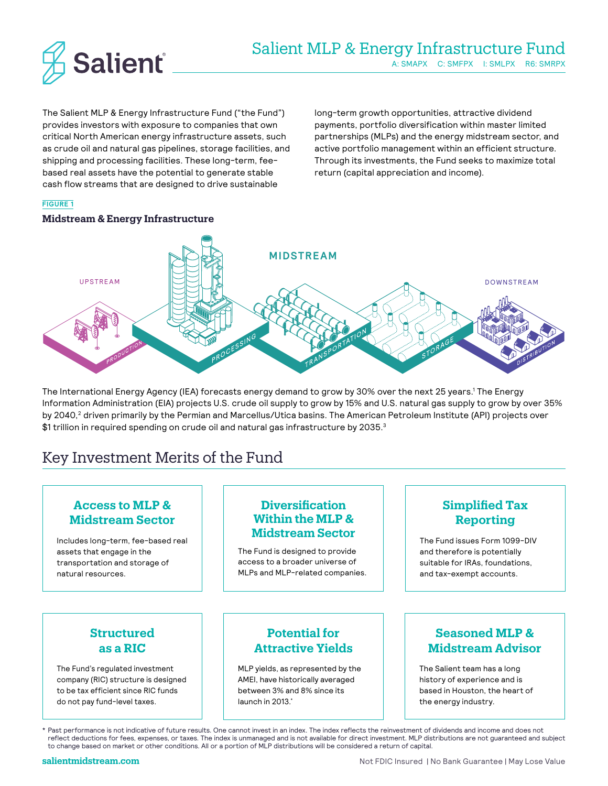

The Salient MLP & Energy Infrastructure Fund ("the Fund") provides investors with exposure to companies that own critical North American energy infrastructure assets, such as crude oil and natural gas pipelines, storage facilities, and shipping and processing facilities. These long-term, feebased real assets have the potential to generate stable cash flow streams that are designed to drive sustainable

long-term growth opportunities, attractive dividend payments, portfolio diversification within master limited partnerships (MLPs) and the energy midstream sector, and active portfolio management within an efficient structure. Through its investments, the Fund seeks to maximize total return (capital appreciation and income).

### **FIGURE 1**

### **Midstream & Energy Infrastructure**



The International Energy Agency (IEA) forecasts energy demand to grow by 30% over the next 25 years.1 The Energy Information Administration (EIA) projects U.S. crude oil supply to grow by 15% and U.S. natural gas supply to grow by over 35% by 2040,<sup>2</sup> driven primarily by the Permian and Marcellus/Utica basins. The American Petroleum Institute (API) projects over  $$1$  trillion in required spending on crude oil and natural gas infrastructure by 2035. $^3$ 

# Key Investment Merits of the Fund

# **Access to MLP & Midstream Sector**

Includes long-term, fee-based real assets that engage in the transportation and storage of natural resources.

# **Diversification Within the MLP & Midstream Sector**

The Fund is designed to provide access to a broader universe of MLPs and MLP-related companies.

# **Simplified Tax Reporting**

The Fund issues Form 1099-DIV and therefore is potentially suitable for IRAs, foundations, and tax-exempt accounts.

# **Structured as a RIC**

The Fund's regulated investment company (RIC) structure is designed to be tax efficient since RIC funds do not pay fund-level taxes.

# **Potential for Attractive Yields**

MLP yields, as represented by the AMEI, have historically averaged between 3% and 8% since its launch in 2013.\*

# **Seasoned MLP & Midstream Advisor**

The Salient team has a long history of experience and is based in Houston, the heart of the energy industry.

\* Past performance is not indicative of future results. One cannot invest in an index. The index reflects the reinvestment of dividends and income and does not reflect deductions for fees, expenses, or taxes. The index is unmanaged and is not available for direct investment. MLP distributions are not guaranteed and subject to change based on market or other conditions. All or a portion of MLP distributions will be considered a return of capital.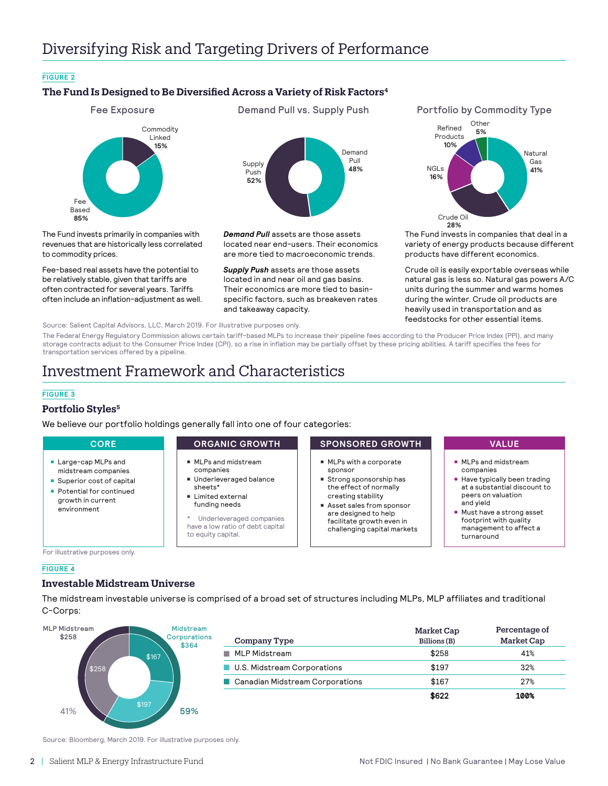# Diversifying Risk and Targeting Drivers of Performance

### **FIGURE 2**

# **The Fund Is Designed to Be Diversified Across a Variety of Risk Factors4**



The Fund invests primarily in companies with revenues that are historically less correlated to commodity prices.

Fee-based real assets have the potential to be relatively stable, given that tariffs are often contracted for several years. Tariffs often include an inflation-adjustment as well. Supply Push **52%** Demand Pull **48%**

*Demand Pull* assets are those assets located near end-users. Their economics are more tied to macroeconomic trends.

*Supply Push* assets are those assets located in and near oil and gas basins. Their economics are more tied to basinspecific factors, such as breakeven rates and takeaway capacity.



The Fund invests in companies that deal in a variety of energy products because different products have different economics.

Crude oil is easily exportable overseas while natural gas is less so. Natural gas powers A/C units during the summer and warms homes during the winter. Crude oil products are heavily used in transportation and as feedstocks for other essential items.

Source: Salient Capital Advisors, LLC, March 2019. For illustrative purposes only.

The Federal Energy Regulatory Commission allows certain tariff-based MLPs to increase their pipeline fees according to the Producer Price Index (PPI), and many storage contracts adjust to the Consumer Price Index (CPI), so a rise in inflation may be partially offset by these pricing abilities. A tariff specifies the fees for transportation services offered by a pipeline.

# Investment Framework and Characteristics

### **FIGURE 3**

### **Portfolio Styles5**

We believe our portfolio holdings generally fall into one of four categories:

- **Large-cap MLPs and** midstream companies
- **Superior cost of capital**
- **Potential for continued** growth in current environment

- $MPS$  and midstream companies
- Underleveraged balance sheets\*
- <sup>n</sup> Limited external funding needs
- Underleveraged companies have a low ratio of debt capital to equity capital.

### **CORE CORGANIC GROWTH SPONSORED GROWTH VALUE**

- $M$  MLPs with a corporate sponsor
- $\blacksquare$  Strong sponsorship has the effect of normally creating stability
- Asset sales from sponsor are designed to help facilitate growth even in challenging capital markets

- $MPS$  and midstream companies
- $\blacksquare$  Have typically been trading at a substantial discount to peers on valuation and yield
- $\blacksquare$  Must have a strong asset footprint with quality management to affect a turnaround

For illustrative purposes only.

### **FIGURE 4**

## **Investable Midstream Universe**

The midstream investable universe is comprised of a broad set of structures including MLPs, MLP affiliates and traditional C-Corps:



| Company Type                           | Market Cap<br>Billions (B) | Percentage of<br>Market Cap |
|----------------------------------------|----------------------------|-----------------------------|
| MLP Midstream                          | \$258                      | 41%                         |
| <b>U.S. Midstream Corporations</b>     | \$197                      | 32%                         |
| <b>Canadian Midstream Corporations</b> | \$167                      | 27%                         |
|                                        | \$622                      | 100%                        |

Source: Bloomberg, March 2019. For illustrative purposes only.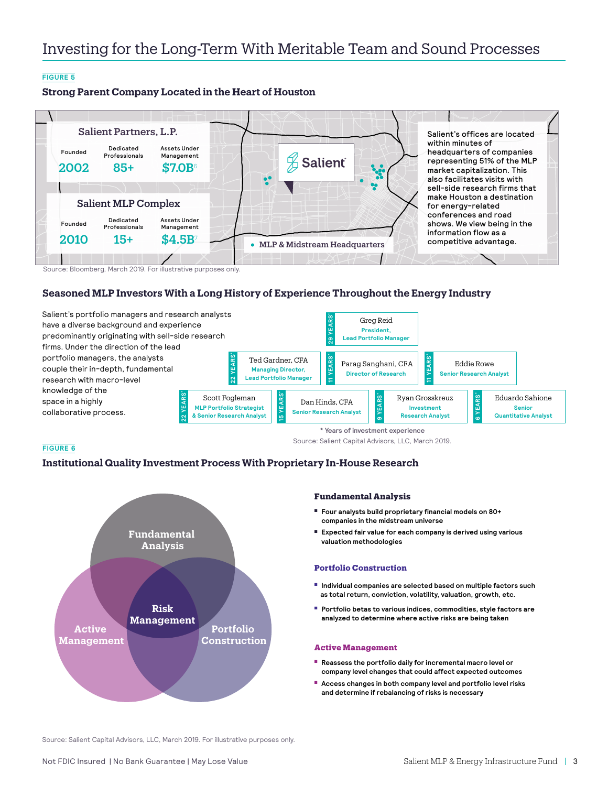## **FIGURE 5**

**Strong Parent Company Located in the Heart of Houston**



Source: Bloomberg, March 2019. For illustrative purposes only.

## **Seasoned MLP Investors With a Long History of Experience Throughout the Energy Industry**



### **FIGURE 6**

## **Institutional Quality Investment Process With Proprietary In-House Research**



### **Fundamental Analysis**

Source: Salient Capital Advisors, LLC, March 2019.

- <sup>n</sup> **Four analysts build proprietary financial models on 80+ companies in the midstream universe**
- **Expected fair value for each company is derived using various valuation methodologies**

### **Portfolio Construction**

- <sup>n</sup> **Individual companies are selected based on multiple factors such as total return, conviction, volatility, valuation, growth, etc.**
- **Portfolio betas to various indices, commodities, style factors are analyzed to determine where active risks are being taken**

### **Active Management**

- **Reassess the portfolio daily for incremental macro level or company level changes that could affect expected outcomes**
- **E** Access changes in both company level and portfolio level risks **and determine if rebalancing of risks is necessary**

Source: Salient Capital Advisors, LLC, March 2019. For illustrative purposes only.